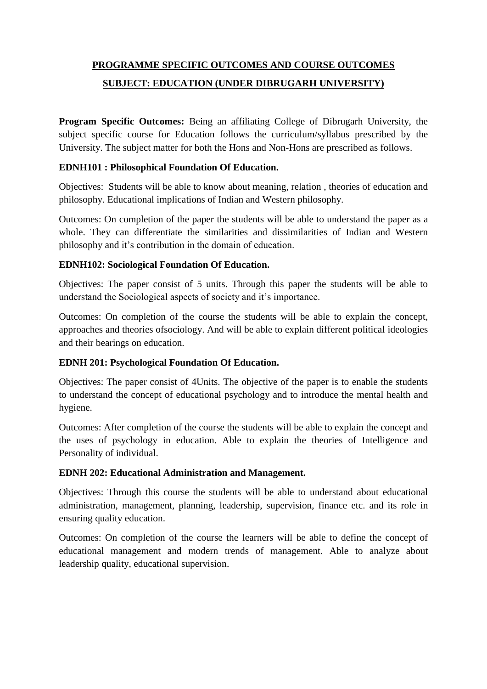# **PROGRAMME SPECIFIC OUTCOMES AND COURSE OUTCOMES SUBJECT: EDUCATION (UNDER DIBRUGARH UNIVERSITY)**

**Program Specific Outcomes:** Being an affiliating College of Dibrugarh University, the subject specific course for Education follows the curriculum/syllabus prescribed by the University. The subject matter for both the Hons and Non-Hons are prescribed as follows.

## **EDNH101 : Philosophical Foundation Of Education.**

Objectives: Students will be able to know about meaning, relation , theories of education and philosophy. Educational implications of Indian and Western philosophy.

Outcomes: On completion of the paper the students will be able to understand the paper as a whole. They can differentiate the similarities and dissimilarities of Indian and Western philosophy and it's contribution in the domain of education.

# **EDNH102: Sociological Foundation Of Education.**

Objectives: The paper consist of 5 units. Through this paper the students will be able to understand the Sociological aspects of society and it's importance.

Outcomes: On completion of the course the students will be able to explain the concept, approaches and theories ofsociology. And will be able to explain different political ideologies and their bearings on education.

# **EDNH 201: Psychological Foundation Of Education.**

Objectives: The paper consist of 4Units. The objective of the paper is to enable the students to understand the concept of educational psychology and to introduce the mental health and hygiene.

Outcomes: After completion of the course the students will be able to explain the concept and the uses of psychology in education. Able to explain the theories of Intelligence and Personality of individual.

## **EDNH 202: Educational Administration and Management.**

Objectives: Through this course the students will be able to understand about educational administration, management, planning, leadership, supervision, finance etc. and its role in ensuring quality education.

Outcomes: On completion of the course the learners will be able to define the concept of educational management and modern trends of management. Able to analyze about leadership quality, educational supervision.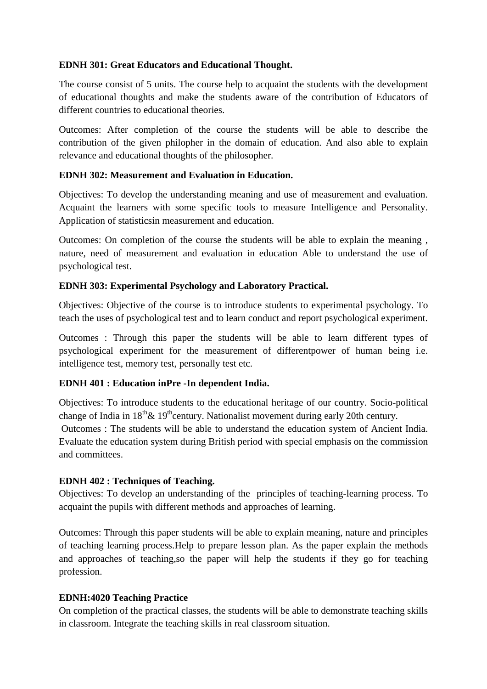## **EDNH 301: Great Educators and Educational Thought.**

The course consist of 5 units. The course help to acquaint the students with the development of educational thoughts and make the students aware of the contribution of Educators of different countries to educational theories.

Outcomes: After completion of the course the students will be able to describe the contribution of the given philopher in the domain of education. And also able to explain relevance and educational thoughts of the philosopher.

## **EDNH 302: Measurement and Evaluation in Education.**

Objectives: To develop the understanding meaning and use of measurement and evaluation. Acquaint the learners with some specific tools to measure Intelligence and Personality. Application of statisticsin measurement and education.

Outcomes: On completion of the course the students will be able to explain the meaning , nature, need of measurement and evaluation in education Able to understand the use of psychological test.

## **EDNH 303: Experimental Psychology and Laboratory Practical.**

Objectives: Objective of the course is to introduce students to experimental psychology. To teach the uses of psychological test and to learn conduct and report psychological experiment.

Outcomes : Through this paper the students will be able to learn different types of psychological experiment for the measurement of differentpower of human being i.e. intelligence test, memory test, personally test etc.

# **EDNH 401 : Education inPre -In dependent India.**

Objectives: To introduce students to the educational heritage of our country. Socio-political change of India in  $18^{th} \& 19^{th}$ century. Nationalist movement during early 20th century.

Outcomes : The students will be able to understand the education system of Ancient India. Evaluate the education system during British period with special emphasis on the commission and committees.

## **EDNH 402 : Techniques of Teaching.**

Objectives: To develop an understanding of the principles of teaching-learning process. To acquaint the pupils with different methods and approaches of learning.

Outcomes: Through this paper students will be able to explain meaning, nature and principles of teaching learning process.Help to prepare lesson plan. As the paper explain the methods and approaches of teaching,so the paper will help the students if they go for teaching profession.

## **EDNH:4020 Teaching Practice**

On completion of the practical classes, the students will be able to demonstrate teaching skills in classroom. Integrate the teaching skills in real classroom situation.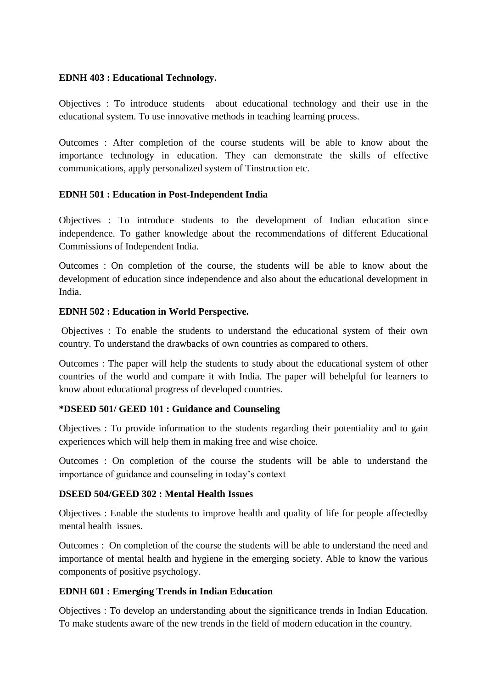#### **EDNH 403 : Educational Technology.**

Objectives : To introduce students about educational technology and their use in the educational system. To use innovative methods in teaching learning process.

Outcomes : After completion of the course students will be able to know about the importance technology in education. They can demonstrate the skills of effective communications, apply personalized system of Tinstruction etc.

## **EDNH 501 : Education in Post-Independent India**

Objectives : To introduce students to the development of Indian education since independence. To gather knowledge about the recommendations of different Educational Commissions of Independent India.

Outcomes : On completion of the course, the students will be able to know about the development of education since independence and also about the educational development in India.

## **EDNH 502 : Education in World Perspective.**

Objectives : To enable the students to understand the educational system of their own country. To understand the drawbacks of own countries as compared to others.

Outcomes : The paper will help the students to study about the educational system of other countries of the world and compare it with India. The paper will behelpful for learners to know about educational progress of developed countries.

## **\*DSEED 501/ GEED 101 : Guidance and Counseling**

Objectives : To provide information to the students regarding their potentiality and to gain experiences which will help them in making free and wise choice.

Outcomes : On completion of the course the students will be able to understand the importance of guidance and counseling in today's context

## **DSEED 504/GEED 302 : Mental Health Issues**

Objectives : Enable the students to improve health and quality of life for people affectedby mental health issues.

Outcomes : On completion of the course the students will be able to understand the need and importance of mental health and hygiene in the emerging society. Able to know the various components of positive psychology.

# **EDNH 601 : Emerging Trends in Indian Education**

Objectives : To develop an understanding about the significance trends in Indian Education. To make students aware of the new trends in the field of modern education in the country.